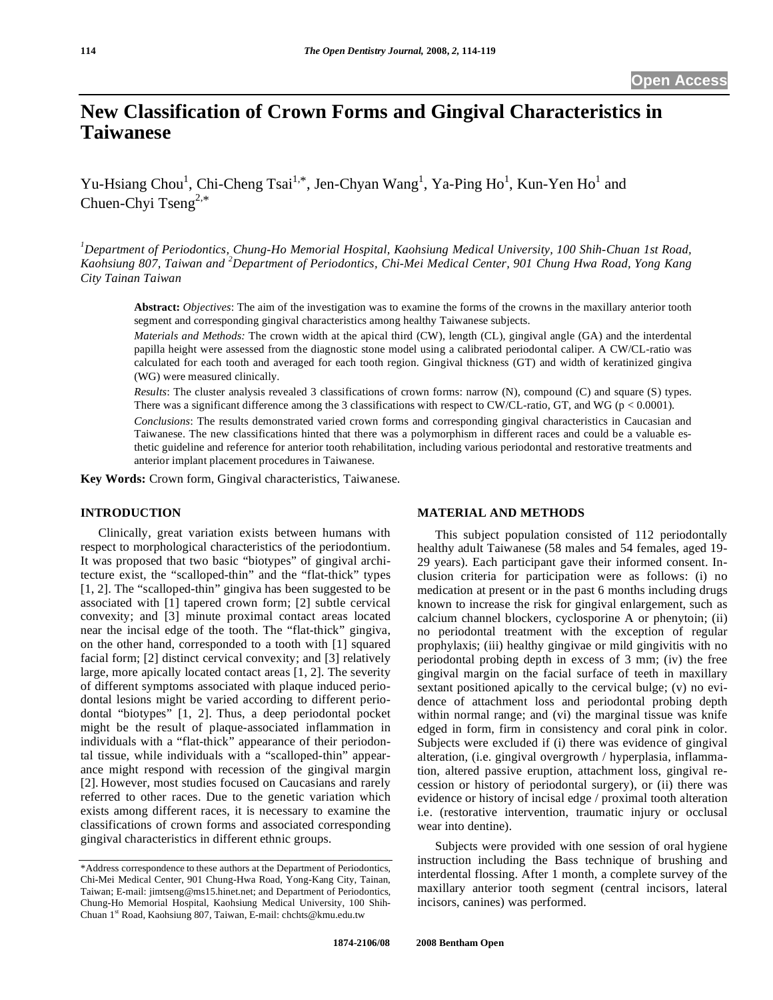# **New Classification of Crown Forms and Gingival Characteristics in Taiwanese**

Yu-Hsiang Chou<sup>1</sup>, Chi-Cheng Tsai<sup>1,\*</sup>, Jen-Chyan Wang<sup>1</sup>, Ya-Ping Ho<sup>1</sup>, Kun-Yen Ho<sup>1</sup> and Chuen-Chyi Tseng<sup>2,\*</sup>

*1 Department of Periodontics, Chung-Ho Memorial Hospital, Kaohsiung Medical University, 100 Shih-Chuan 1st Road, Kaohsiung 807, Taiwan and <sup>2</sup> Department of Periodontics, Chi-Mei Medical Center, 901 Chung Hwa Road, Yong Kang City Tainan Taiwan* 

**Abstract:** *Objectives*: The aim of the investigation was to examine the forms of the crowns in the maxillary anterior tooth segment and corresponding gingival characteristics among healthy Taiwanese subjects.

*Materials and Methods:* The crown width at the apical third (CW), length (CL), gingival angle (GA) and the interdental papilla height were assessed from the diagnostic stone model using a calibrated periodontal caliper. A CW/CL-ratio was calculated for each tooth and averaged for each tooth region. Gingival thickness (GT) and width of keratinized gingiva (WG) were measured clinically.

*Results*: The cluster analysis revealed 3 classifications of crown forms: narrow (N), compound (C) and square (S) types. There was a significant difference among the 3 classifications with respect to CW/CL-ratio, GT, and WG ( $p < 0.0001$ ).

*Conclusions*: The results demonstrated varied crown forms and corresponding gingival characteristics in Caucasian and Taiwanese. The new classifications hinted that there was a polymorphism in different races and could be a valuable esthetic guideline and reference for anterior tooth rehabilitation, including various periodontal and restorative treatments and anterior implant placement procedures in Taiwanese.

**Key Words:** Crown form, Gingival characteristics, Taiwanese.

## **INTRODUCTION**

 Clinically, great variation exists between humans with respect to morphological characteristics of the periodontium. It was proposed that two basic "biotypes" of gingival architecture exist, the "scalloped-thin" and the "flat-thick" types [1, 2]. The "scalloped-thin" gingiva has been suggested to be associated with [1] tapered crown form; [2] subtle cervical convexity; and [3] minute proximal contact areas located near the incisal edge of the tooth. The "flat-thick" gingiva, on the other hand, corresponded to a tooth with [1] squared facial form; [2] distinct cervical convexity; and [3] relatively large, more apically located contact areas [1, 2]. The severity of different symptoms associated with plaque induced periodontal lesions might be varied according to different periodontal "biotypes" [1, 2]. Thus, a deep periodontal pocket might be the result of plaque-associated inflammation in individuals with a "flat-thick" appearance of their periodontal tissue, while individuals with a "scalloped-thin" appearance might respond with recession of the gingival margin [2]. However, most studies focused on Caucasians and rarely referred to other races. Due to the genetic variation which exists among different races, it is necessary to examine the classifications of crown forms and associated corresponding gingival characteristics in different ethnic groups.

## **MATERIAL AND METHODS**

 This subject population consisted of 112 periodontally healthy adult Taiwanese (58 males and 54 females, aged 19- 29 years). Each participant gave their informed consent. Inclusion criteria for participation were as follows: (i) no medication at present or in the past 6 months including drugs known to increase the risk for gingival enlargement, such as calcium channel blockers, cyclosporine A or phenytoin; (ii) no periodontal treatment with the exception of regular prophylaxis; (iii) healthy gingivae or mild gingivitis with no periodontal probing depth in excess of 3 mm; (iv) the free gingival margin on the facial surface of teeth in maxillary sextant positioned apically to the cervical bulge; (v) no evidence of attachment loss and periodontal probing depth within normal range; and (vi) the marginal tissue was knife edged in form, firm in consistency and coral pink in color. Subjects were excluded if (i) there was evidence of gingival alteration, (i.e. gingival overgrowth / hyperplasia, inflammation, altered passive eruption, attachment loss, gingival recession or history of periodontal surgery), or (ii) there was evidence or history of incisal edge / proximal tooth alteration i.e. (restorative intervention, traumatic injury or occlusal wear into dentine).

 Subjects were provided with one session of oral hygiene instruction including the Bass technique of brushing and interdental flossing. After 1 month, a complete survey of the maxillary anterior tooth segment (central incisors, lateral incisors, canines) was performed.

<sup>\*</sup>Address correspondence to these authors at the Department of Periodontics, Chi-Mei Medical Center, 901 Chung-Hwa Road, Yong-Kang City, Tainan, Taiwan; E-mail: jimtseng@ms15.hinet.net; and Department of Periodontics, Chung-Ho Memorial Hospital, Kaohsiung Medical University, 100 Shih-Chuan 1st Road, Kaohsiung 807, Taiwan, E-mail: chchts@kmu.edu.tw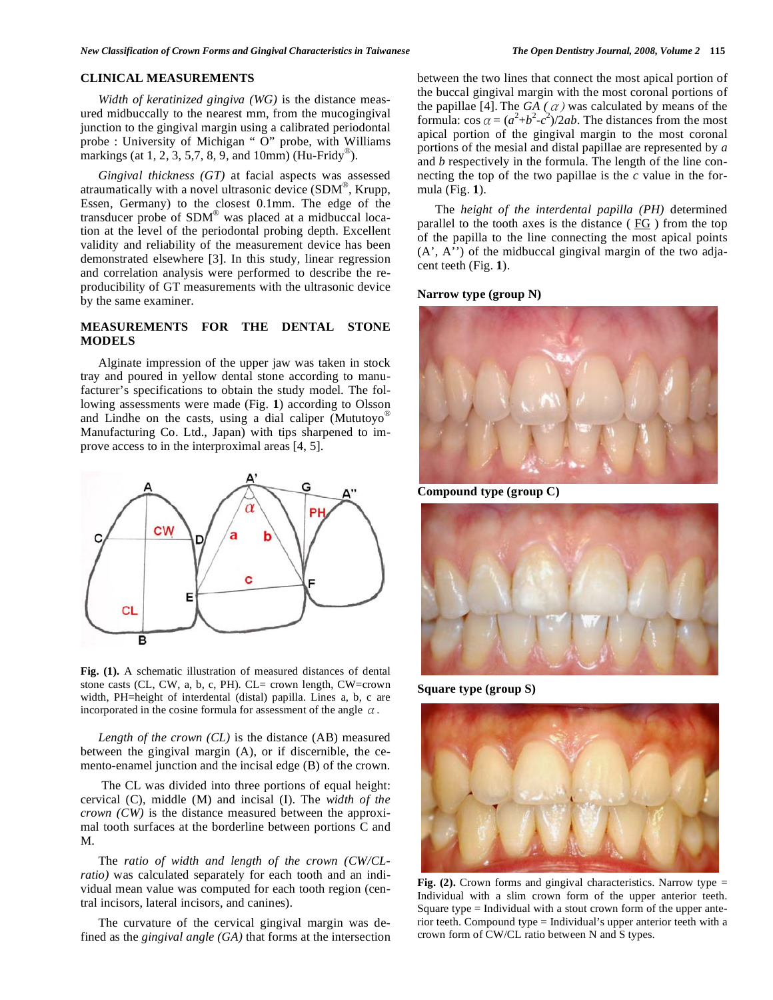## **CLINICAL MEASUREMENTS**

 *Width of keratinized gingiva (WG)* is the distance measured midbuccally to the nearest mm, from the mucogingival junction to the gingival margin using a calibrated periodontal probe : University of Michigan " O" probe, with Williams markings (at 1, 2, 3, 5,7, 8, 9, and 10mm) (Hu-Fridy®).

 *Gingival thickness (GT)* at facial aspects was assessed atraumatically with a novel ultrasonic device (SDM®, Krupp, Essen, Germany) to the closest 0.1mm. The edge of the transducer probe of SDM® was placed at a midbuccal location at the level of the periodontal probing depth. Excellent validity and reliability of the measurement device has been demonstrated elsewhere [3]. In this study, linear regression and correlation analysis were performed to describe the reproducibility of GT measurements with the ultrasonic device by the same examiner.

## **MEASUREMENTS FOR THE DENTAL STONE MODELS**

 Alginate impression of the upper jaw was taken in stock tray and poured in yellow dental stone according to manufacturer's specifications to obtain the study model. The following assessments were made (Fig. **1**) according to Olsson and Lindhe on the casts, using a dial caliper (Mututoyo® Manufacturing Co. Ltd., Japan) with tips sharpened to improve access to in the interproximal areas [4, 5].



**Fig. (1).** A schematic illustration of measured distances of dental stone casts (CL, CW, a, b, c, PH). CL= crown length, CW=crown width, PH=height of interdental (distal) papilla. Lines a, b, c are incorporated in the cosine formula for assessment of the angle  $\alpha$ .

 *Length of the crown (CL)* is the distance (AB) measured between the gingival margin (A), or if discernible, the cemento-enamel junction and the incisal edge (B) of the crown.

 The CL was divided into three portions of equal height: cervical (C), middle (M) and incisal (I). The *width of the crown (CW)* is the distance measured between the approximal tooth surfaces at the borderline between portions C and M.

 The *ratio of width and length of the crown (CW/CLratio)* was calculated separately for each tooth and an individual mean value was computed for each tooth region (central incisors, lateral incisors, and canines).

 The curvature of the cervical gingival margin was defined as the *gingival angle (GA)* that forms at the intersection between the two lines that connect the most apical portion of the buccal gingival margin with the most coronal portions of the papillae [4]. The  $GA$  ( $\alpha$ ) was calculated by means of the formula:  $\cos \alpha = (a^2+b^2-c^2)/2ab$ . The distances from the most apical portion of the gingival margin to the most coronal portions of the mesial and distal papillae are represented by *a* and *b* respectively in the formula. The length of the line connecting the top of the two papillae is the *c* value in the formula (Fig. **1**).

 The *height of the interdental papilla (PH)* determined parallel to the tooth axes is the distance ( $FG$ ) from the top of the papilla to the line connecting the most apical points (A', A'') of the midbuccal gingival margin of the two adjacent teeth (Fig. **1**).

#### **Narrow type (group N)**



**Compound type (group C)** 



**Square type (group S)** 



Fig. (2). Crown forms and gingival characteristics. Narrow type = Individual with a slim crown form of the upper anterior teeth. Square type = Individual with a stout crown form of the upper anterior teeth. Compound type = Individual's upper anterior teeth with a crown form of CW/CL ratio between N and S types.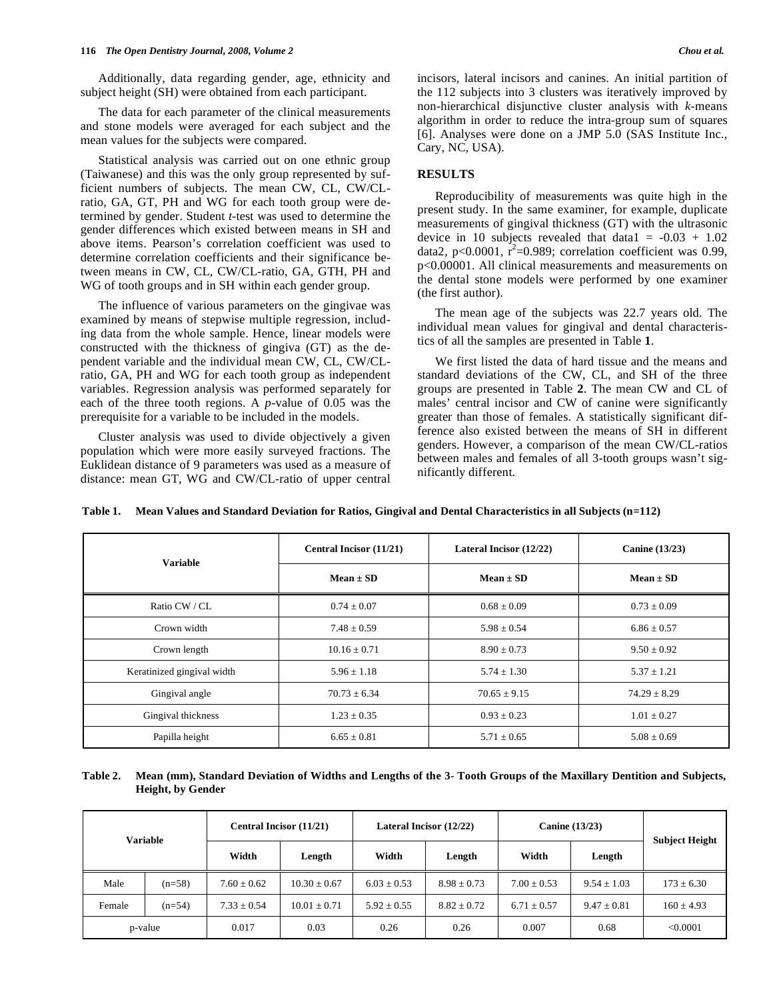#### **116** *The Open Dentistry Journal, 2008, Volume 2 Chou et al.*

 Additionally, data regarding gender, age, ethnicity and subject height (SH) were obtained from each participant.

 The data for each parameter of the clinical measurements and stone models were averaged for each subject and the mean values for the subjects were compared.

 Statistical analysis was carried out on one ethnic group (Taiwanese) and this was the only group represented by sufficient numbers of subjects. The mean CW, CL, CW/CLratio, GA, GT, PH and WG for each tooth group were determined by gender. Student *t*-test was used to determine the gender differences which existed between means in SH and above items. Pearson's correlation coefficient was used to determine correlation coefficients and their significance between means in CW, CL, CW/CL-ratio, GA, GTH, PH and WG of tooth groups and in SH within each gender group.

 The influence of various parameters on the gingivae was examined by means of stepwise multiple regression, including data from the whole sample. Hence, linear models were constructed with the thickness of gingiva (GT) as the dependent variable and the individual mean CW, CL, CW/CLratio, GA, PH and WG for each tooth group as independent variables. Regression analysis was performed separately for each of the three tooth regions. A *p*-value of 0.05 was the prerequisite for a variable to be included in the models.

 Cluster analysis was used to divide objectively a given population which were more easily surveyed fractions. The Euklidean distance of 9 parameters was used as a measure of distance: mean GT, WG and CW/CL-ratio of upper central

# **RESULTS**

 Reproducibility of measurements was quite high in the present study. In the same examiner, for example, duplicate measurements of gingival thickness (GT) with the ultrasonic device in 10 subjects revealed that data1 =  $-0.03 + 1.02$ data2, p<0.0001,  $\vec{r}^2$ =0.989; correlation coefficient was 0.99, p<0.00001. All clinical measurements and measurements on the dental stone models were performed by one examiner (the first author).

 The mean age of the subjects was 22.7 years old. The individual mean values for gingival and dental characteristics of all the samples are presented in Table **1**.

 We first listed the data of hard tissue and the means and standard deviations of the CW, CL, and SH of the three groups are presented in Table **2**. The mean CW and CL of males' central incisor and CW of canine were significantly greater than those of females. A statistically significant difference also existed between the means of SH in different genders. However, a comparison of the mean CW/CL-ratios between males and females of all 3-tooth groups wasn't significantly different.

| <b>Variable</b>            | Central Incisor (11/21) | Lateral Incisor (12/22) | <b>Canine</b> (13/23) |  |
|----------------------------|-------------------------|-------------------------|-----------------------|--|
|                            | $Mean \pm SD$           | $Mean \pm SD$           | Mean $\pm$ SD         |  |
| Ratio $CW / CL$            | $0.74 \pm 0.07$         | $0.68 \pm 0.09$         | $0.73 \pm 0.09$       |  |
| Crown width                | $7.48 \pm 0.59$         | $5.98 \pm 0.54$         | $6.86 \pm 0.57$       |  |
| Crown length               | $10.16 \pm 0.71$        | $8.90 \pm 0.73$         | $9.50 \pm 0.92$       |  |
| Keratinized gingival width | $5.96 + 1.18$           | $5.74 \pm 1.30$         | $5.37 \pm 1.21$       |  |
| Gingival angle             | $70.73 \pm 6.34$        | $70.65 \pm 9.15$        | $74.29 \pm 8.29$      |  |
| Gingival thickness         | $1.23 \pm 0.35$         | $0.93 \pm 0.23$         | $1.01 \pm 0.27$       |  |
| Papilla height             | $6.65 \pm 0.81$         | $5.71 \pm 0.65$         | $5.08 \pm 0.69$       |  |

**Table 1. Mean Values and Standard Deviation for Ratios, Gingival and Dental Characteristics in all Subjects (n=112)** 

# **Table 2. Mean (mm), Standard Deviation of Widths and Lengths of the 3- Tooth Groups of the Maxillary Dentition and Subjects, Height, by Gender**

| Variable |          | <b>Central Incisor (11/21)</b> |                  | Lateral Incisor (12/22) |                 | <b>Canine</b> (13/23) |                 | <b>Subject Height</b> |
|----------|----------|--------------------------------|------------------|-------------------------|-----------------|-----------------------|-----------------|-----------------------|
|          |          | Width                          | Length           | Width                   | Length          | Width                 | Length          |                       |
| Male     | $(n=58)$ | $7.60 + 0.62$                  | $10.30 \pm 0.67$ | $6.03 \pm 0.53$         | $8.98 \pm 0.73$ | $7.00 \pm 0.53$       | $9.54 \pm 1.03$ | $173 \pm 6.30$        |
| Female   | $(n=54)$ | $7.33 + 0.54$                  | $10.01 \pm 0.71$ | $5.92 \pm 0.55$         | $8.82 \pm 0.72$ | $6.71 \pm 0.57$       | $9.47 + 0.81$   | $160 \pm 4.93$        |
|          | p-value  | 0.017                          | 0.03             | 0.26                    | 0.26            | 0.007                 | 0.68            | < 0.0001              |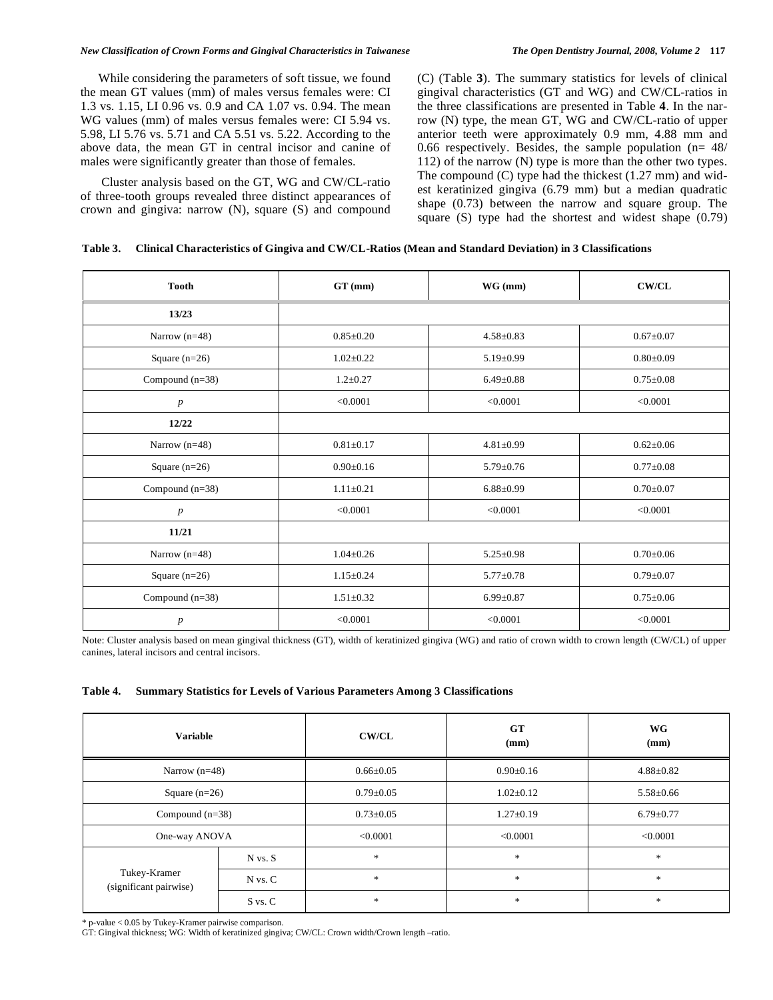While considering the parameters of soft tissue, we found the mean GT values (mm) of males versus females were: CI 1.3 vs. 1.15, LI 0.96 vs. 0.9 and CA 1.07 vs. 0.94. The mean WG values (mm) of males versus females were: CI 5.94 vs. 5.98, LI 5.76 vs. 5.71 and CA 5.51 vs. 5.22. According to the above data, the mean GT in central incisor and canine of males were significantly greater than those of females.

 Cluster analysis based on the GT, WG and CW/CL-ratio of three-tooth groups revealed three distinct appearances of crown and gingiva: narrow (N), square (S) and compound (C) (Table **3**). The summary statistics for levels of clinical gingival characteristics (GT and WG) and CW/CL-ratios in the three classifications are presented in Table **4**. In the narrow (N) type, the mean GT, WG and CW/CL-ratio of upper anterior teeth were approximately 0.9 mm, 4.88 mm and 0.66 respectively. Besides, the sample population ( $n=48$ / 112) of the narrow (N) type is more than the other two types. The compound (C) type had the thickest (1.27 mm) and widest keratinized gingiva (6.79 mm) but a median quadratic shape (0.73) between the narrow and square group. The square (S) type had the shortest and widest shape (0.79)

| Table 3. Clinical Characteristics of Gingiva and CW/CL-Ratios (Mean and Standard Deviation) in 3 Classifications |  |  |
|------------------------------------------------------------------------------------------------------------------|--|--|
|                                                                                                                  |  |  |

| <b>Tooth</b>      | GT (mm)<br>WG (mm) |                 | $\bold{CW/CL}$  |
|-------------------|--------------------|-----------------|-----------------|
| 13/23             |                    |                 |                 |
| Narrow $(n=48)$   | $0.85 \pm 0.20$    | $4.58 \pm 0.83$ | $0.67 + 0.07$   |
| Square $(n=26)$   | $1.02 \pm 0.22$    | $5.19 \pm 0.99$ | $0.80 \pm 0.09$ |
| Compound $(n=38)$ | $1.2 \pm 0.27$     | $6.49 \pm 0.88$ | $0.75 \pm 0.08$ |
| $\boldsymbol{p}$  | < 0.0001           | < 0.0001        | < 0.0001        |
| 12/22             |                    |                 |                 |
| Narrow $(n=48)$   | $0.81 \pm 0.17$    | $4.81 \pm 0.99$ | $0.62 \pm 0.06$ |
| Square $(n=26)$   | $0.90 \pm 0.16$    | $5.79 \pm 0.76$ | $0.77 + 0.08$   |
| Compound (n=38)   | $1.11 \pm 0.21$    | $6.88 \pm 0.99$ | $0.70 \pm 0.07$ |
| $\boldsymbol{p}$  | < 0.0001           | < 0.0001        |                 |
| 11/21             |                    |                 |                 |
| Narrow $(n=48)$   | $1.04 \pm 0.26$    | $5.25 \pm 0.98$ | $0.70 \pm 0.06$ |
| Square $(n=26)$   | $1.15 \pm 0.24$    | $5.77 \pm 0.78$ | $0.79 \pm 0.07$ |
| Compound $(n=38)$ | $1.51 \pm 0.32$    | $6.99 \pm 0.87$ | $0.75 \pm 0.06$ |
| $\boldsymbol{p}$  | < 0.0001           | < 0.0001        | < 0.0001        |

Note: Cluster analysis based on mean gingival thickness (GT), width of keratinized gingiva (WG) and ratio of crown width to crown length (CW/CL) of upper canines, lateral incisors and central incisors.

#### **Table 4. Summary Statistics for Levels of Various Parameters Among 3 Classifications**

| <b>Variable</b>                        |             | <b>CW/CL</b>                      | <b>GT</b><br>(mm)                 | <b>WG</b><br>(mm) |
|----------------------------------------|-------------|-----------------------------------|-----------------------------------|-------------------|
| Narrow $(n=48)$                        |             | $0.66 \pm 0.05$                   | $0.90 \pm 0.16$                   | $4.88 \pm 0.82$   |
| Square $(n=26)$                        |             | $0.79 \pm 0.05$                   | $1.02 \pm 0.12$                   | $5.58 \pm 0.66$   |
| Compound $(n=38)$                      |             | $0.73 \pm 0.05$                   | $1.27 \pm 0.19$                   | $6.79 \pm 0.77$   |
| One-way ANOVA                          |             | < 0.0001                          | < 0.0001                          | < 0.0001          |
| Tukey-Kramer<br>(significant pairwise) | $N$ vs. $S$ | $\frac{d\mathbf{r}}{d\mathbf{r}}$ | $\frac{d\mathbf{r}}{d\mathbf{r}}$ | $\frac{1}{2}$     |
|                                        | $N$ vs. $C$ | $\frac{d\mathbf{r}}{d\mathbf{r}}$ | $\frac{d\mathbf{r}}{d\mathbf{r}}$ | $\frac{1}{2}$     |
|                                        | S vs. C     | $\frac{1}{2}$                     | $\frac{1}{2}$                     | $\ast$            |

\* p-value < 0.05 by Tukey-Kramer pairwise comparison.

GT: Gingival thickness; WG: Width of keratinized gingiva; CW/CL: Crown width/Crown length –ratio.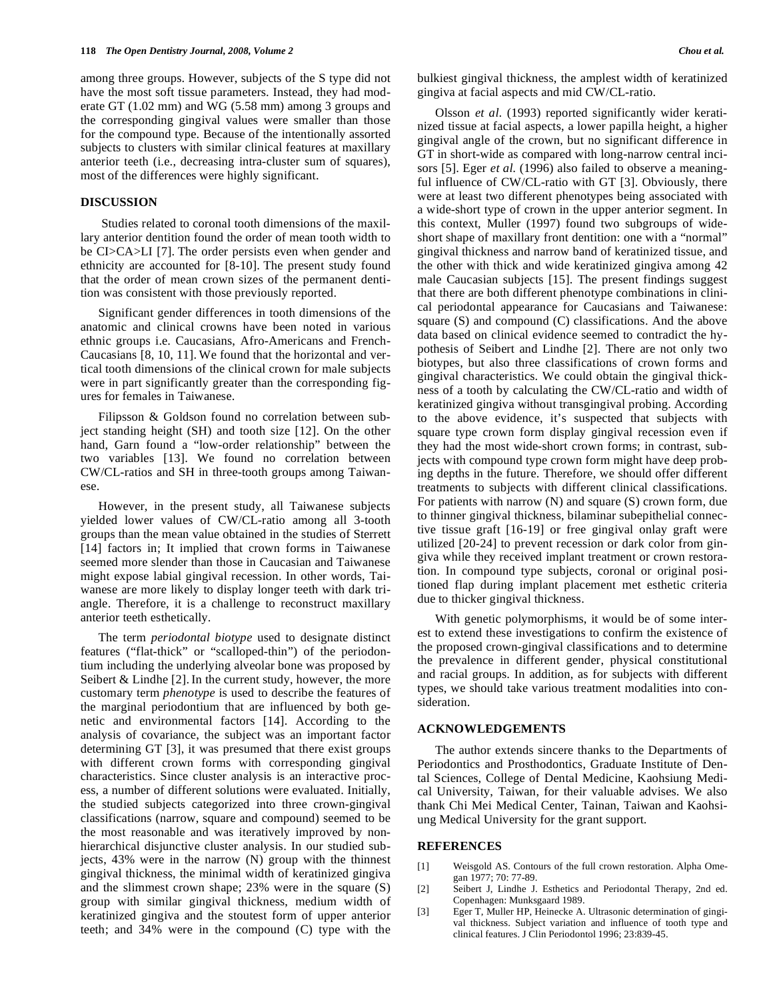among three groups. However, subjects of the S type did not have the most soft tissue parameters. Instead, they had moderate GT (1.02 mm) and WG (5.58 mm) among 3 groups and the corresponding gingival values were smaller than those for the compound type. Because of the intentionally assorted subjects to clusters with similar clinical features at maxillary anterior teeth (i.e., decreasing intra-cluster sum of squares), most of the differences were highly significant.

### **DISCUSSION**

 Studies related to coronal tooth dimensions of the maxillary anterior dentition found the order of mean tooth width to be CI>CA>LI [7]. The order persists even when gender and ethnicity are accounted for [8-10]. The present study found that the order of mean crown sizes of the permanent dentition was consistent with those previously reported.

 Significant gender differences in tooth dimensions of the anatomic and clinical crowns have been noted in various ethnic groups i.e. Caucasians, Afro-Americans and French-Caucasians [8, 10, 11]. We found that the horizontal and vertical tooth dimensions of the clinical crown for male subjects were in part significantly greater than the corresponding figures for females in Taiwanese.

 Filipsson & Goldson found no correlation between subject standing height (SH) and tooth size [12]. On the other hand, Garn found a "low-order relationship" between the two variables [13]. We found no correlation between CW/CL-ratios and SH in three-tooth groups among Taiwanese.

 However, in the present study, all Taiwanese subjects yielded lower values of CW/CL-ratio among all 3-tooth groups than the mean value obtained in the studies of Sterrett [14] factors in; It implied that crown forms in Taiwanese seemed more slender than those in Caucasian and Taiwanese might expose labial gingival recession. In other words, Taiwanese are more likely to display longer teeth with dark triangle. Therefore, it is a challenge to reconstruct maxillary anterior teeth esthetically.

 The term *periodontal biotype* used to designate distinct features ("flat-thick" or "scalloped-thin") of the periodontium including the underlying alveolar bone was proposed by Seibert & Lindhe [2]. In the current study, however, the more customary term *phenotype* is used to describe the features of the marginal periodontium that are influenced by both genetic and environmental factors [14]. According to the analysis of covariance, the subject was an important factor determining GT [3], it was presumed that there exist groups with different crown forms with corresponding gingival characteristics. Since cluster analysis is an interactive process, a number of different solutions were evaluated. Initially, the studied subjects categorized into three crown-gingival classifications (narrow, square and compound) seemed to be the most reasonable and was iteratively improved by nonhierarchical disjunctive cluster analysis. In our studied subjects, 43% were in the narrow (N) group with the thinnest gingival thickness, the minimal width of keratinized gingiva and the slimmest crown shape; 23% were in the square (S) group with similar gingival thickness, medium width of keratinized gingiva and the stoutest form of upper anterior teeth; and 34% were in the compound (C) type with the

bulkiest gingival thickness, the amplest width of keratinized gingiva at facial aspects and mid CW/CL-ratio.

 Olsson *et al*. (1993) reported significantly wider keratinized tissue at facial aspects, a lower papilla height, a higher gingival angle of the crown, but no significant difference in GT in short-wide as compared with long-narrow central incisors [5]. Eger *et al.* (1996) also failed to observe a meaningful influence of CW/CL-ratio with GT [3]. Obviously, there were at least two different phenotypes being associated with a wide-short type of crown in the upper anterior segment. In this context, Muller (1997) found two subgroups of wideshort shape of maxillary front dentition: one with a "normal" gingival thickness and narrow band of keratinized tissue, and the other with thick and wide keratinized gingiva among 42 male Caucasian subjects [15]. The present findings suggest that there are both different phenotype combinations in clinical periodontal appearance for Caucasians and Taiwanese: square (S) and compound (C) classifications. And the above data based on clinical evidence seemed to contradict the hypothesis of Seibert and Lindhe [2]. There are not only two biotypes, but also three classifications of crown forms and gingival characteristics. We could obtain the gingival thickness of a tooth by calculating the CW/CL-ratio and width of keratinized gingiva without transgingival probing. According to the above evidence, it's suspected that subjects with square type crown form display gingival recession even if they had the most wide-short crown forms; in contrast, subjects with compound type crown form might have deep probing depths in the future. Therefore, we should offer different treatments to subjects with different clinical classifications. For patients with narrow (N) and square (S) crown form, due to thinner gingival thickness, bilaminar subepithelial connective tissue graft [16-19] or free gingival onlay graft were utilized [20-24] to prevent recession or dark color from gingiva while they received implant treatment or crown restoration. In compound type subjects, coronal or original positioned flap during implant placement met esthetic criteria due to thicker gingival thickness.

 With genetic polymorphisms, it would be of some interest to extend these investigations to confirm the existence of the proposed crown-gingival classifications and to determine the prevalence in different gender, physical constitutional and racial groups. In addition, as for subjects with different types, we should take various treatment modalities into consideration.

## **ACKNOWLEDGEMENTS**

 The author extends sincere thanks to the Departments of Periodontics and Prosthodontics, Graduate Institute of Dental Sciences, College of Dental Medicine, Kaohsiung Medical University, Taiwan, for their valuable advises. We also thank Chi Mei Medical Center, Tainan, Taiwan and Kaohsiung Medical University for the grant support.

## **REFERENCES**

- [1] Weisgold AS. Contours of the full crown restoration. Alpha Omegan 1977; 70: 77-89.
- [2] Seibert J, Lindhe J. Esthetics and Periodontal Therapy, 2nd ed. Copenhagen: Munksgaard 1989.
- [3] Eger T, Muller HP, Heinecke A. Ultrasonic determination of gingival thickness. Subject variation and influence of tooth type and clinical features. J Clin Periodontol 1996; 23:839-45.